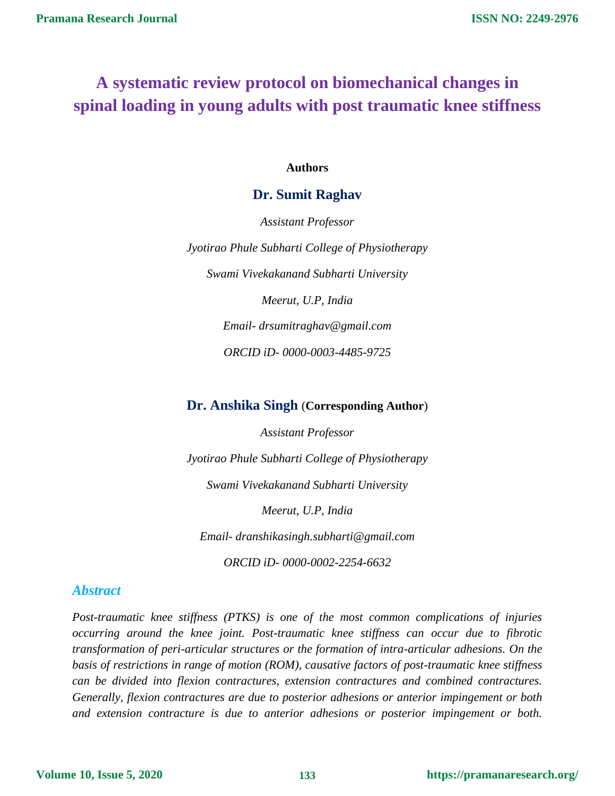# **A systematic review protocol on biomechanical changes in spinal loading in young adults with post traumatic knee stiffness**

#### **Authors**

## **Dr. Sumit Raghav**

*Assistant Professor Jyotirao Phule Subharti College of Physiotherapy Swami Vivekakanand Subharti University Meerut, U.P, India Email- [drsumitraghav@gmail.com](mailto:drsumitraghav@gmail.com) ORCID iD- 0000-0003-4485-9725*

## **Dr. Anshika Singh** (**Corresponding Author**)

*Assistant Professor Jyotirao Phule Subharti College of Physiotherapy Swami Vivekakanand Subharti University Meerut, U.P, India Email- [dranshikasingh.subharti@gmail.com](mailto:dranshikasingh.subharti@gmail.com) ORCID iD- 0000-0002-2254-6632*

## *Abstract*

*Post-traumatic knee stiffness (PTKS) is one of the most common complications of injuries occurring around the knee joint. Post-traumatic knee stiffness can occur due to fibrotic transformation of peri-articular structures or the formation of intra-articular adhesions. On the basis of restrictions in range of motion (ROM), causative factors of post-traumatic knee stiffness can be divided into flexion contractures, extension contractures and combined contractures. Generally, flexion contractures are due to posterior adhesions or anterior impingement or both and extension contracture is due to anterior adhesions or posterior impingement or both.*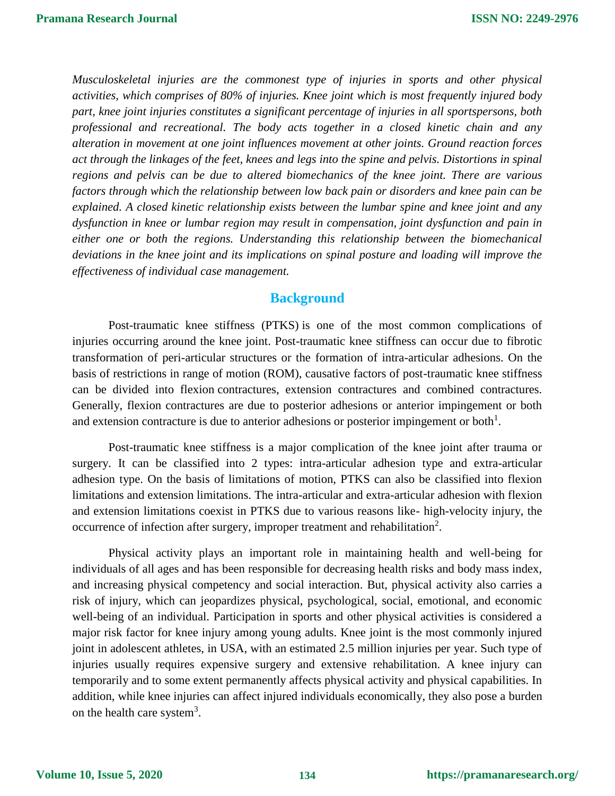*Musculoskeletal injuries are the commonest type of injuries in sports and other physical activities, which comprises of 80% of injuries. Knee joint which is most frequently injured body part, knee joint injuries constitutes a significant percentage of injuries in all sportspersons, both professional and recreational. The body acts together in a closed kinetic chain and any alteration in movement at one joint influences movement at other joints. Ground reaction forces act through the linkages of the feet, knees and legs into the spine and pelvis. Distortions in spinal regions and pelvis can be due to altered biomechanics of the knee joint. There are various factors through which the relationship between low back pain or disorders and knee pain can be explained. A closed kinetic relationship exists between the lumbar spine and knee joint and any dysfunction in knee or lumbar region may result in compensation, joint dysfunction and pain in either one or both the regions. Understanding this relationship between the biomechanical deviations in the knee joint and its implications on spinal posture and loading will improve the effectiveness of individual case management.*

## **Background**

Post-traumatic knee stiffness (PTKS) is one of the most common complications of injuries occurring around the knee joint. Post-traumatic knee stiffness can occur due to fibrotic transformation of peri-articular structures or the formation of intra-articular adhesions. On the basis of restrictions in range of motion (ROM), causative factors of post-traumatic knee stiffness can be divided into flexion [contractures,](https://www.sciencedirect.com/topics/medicine-and-dentistry/contracture) extension contractures and combined contractures. Generally, flexion contractures are due to posterior adhesions or anterior impingement or both and extension contracture is due to anterior adhesions or posterior impingement or both<sup>1</sup>.

Post-traumatic knee stiffness is a major complication of the knee joint after trauma or surgery. It can be classified into 2 types: intra-articular adhesion type and extra-articular adhesion type. On the basis of limitations of motion, PTKS can also be classified into flexion limitations and extension limitations. The intra-articular and extra-articular adhesion with flexion and extension limitations coexist in PTKS due to various reasons like- high-velocity injury, the occurrence of infection after surgery, improper treatment and rehabilitation<sup>2</sup>.

Physical activity plays an important role in maintaining health and well-being for individuals of all ages and has been responsible for decreasing health risks and body mass index, and increasing physical competency and social interaction. But, physical activity also carries a risk of injury, which can jeopardizes physical, psychological, social, emotional, and economic well-being of an individual. Participation in sports and other physical activities is considered a major risk factor for knee injury among young adults. Knee joint is the most commonly injured joint in adolescent athletes, in USA, with an estimated 2.5 million injuries per year. Such type of injuries usually requires expensive surgery and extensive rehabilitation. A knee injury can temporarily and to some extent permanently affects physical activity and physical capabilities. In addition, while knee injuries can affect injured individuals economically, they also pose a burden on the health care system<sup>3</sup>.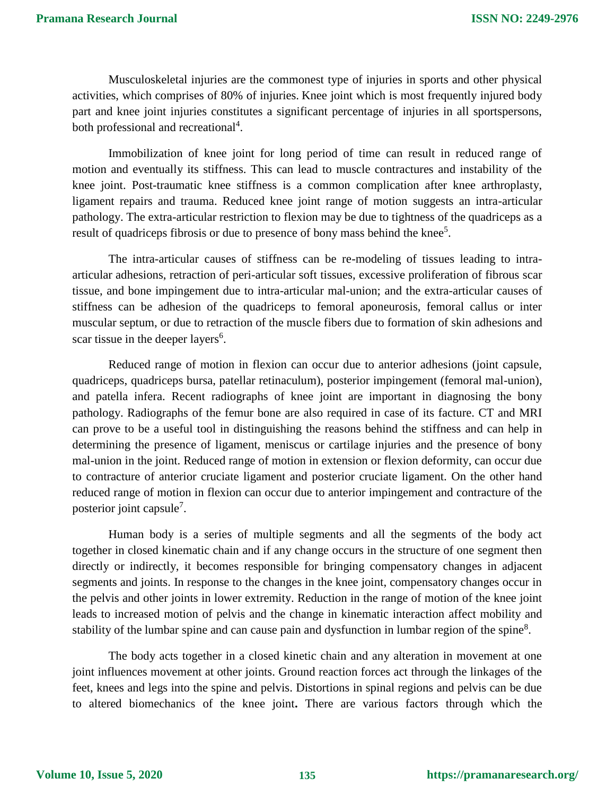Musculoskeletal injuries are the commonest type of injuries in sports and other physical activities, which comprises of 80% of injuries. Knee joint which is most frequently injured body part and knee joint injuries constitutes a significant percentage of injuries in all sportspersons, both professional and recreational<sup>4</sup>.

Immobilization of knee joint for long period of time can result in reduced range of motion and eventually its stiffness. This can lead to muscle contractures and instability of the knee joint. Post-traumatic knee stiffness is a common complication after knee arthroplasty, ligament repairs and trauma. Reduced knee joint range of motion suggests an intra-articular pathology. The extra-articular restriction to flexion may be due to tightness of the quadriceps as a result of quadriceps fibrosis or due to presence of bony mass behind the knee<sup>5</sup>.

The intra-articular causes of stiffness can be re-modeling of tissues leading to intraarticular adhesions, retraction of peri-articular soft tissues, excessive proliferation of fibrous scar tissue, and bone impingement due to intra-articular mal-union; and the extra-articular causes of stiffness can be adhesion of the quadriceps to femoral aponeurosis, femoral callus or inter muscular septum, or due to retraction of the muscle fibers due to formation of skin adhesions and scar tissue in the deeper layers<sup>6</sup>.

Reduced range of motion in flexion can occur due to anterior adhesions (joint capsule, quadriceps, quadriceps bursa, patellar retinaculum), posterior impingement (femoral mal-union), and patella infera. Recent radiographs of knee joint are important in diagnosing the bony pathology. Radiographs of the femur bone are also required in case of its facture. CT and MRI can prove to be a useful tool in distinguishing the reasons behind the stiffness and can help in determining the presence of ligament, meniscus or cartilage injuries and the presence of bony mal-union in the joint. Reduced range of motion in extension or flexion deformity, can occur due to contracture of anterior cruciate ligament and posterior cruciate ligament. On the other hand reduced range of motion in flexion can occur due to anterior impingement and contracture of the posterior joint capsule<sup>7</sup>.

Human body is a series of multiple segments and all the segments of the body act together in closed kinematic chain and if any change occurs in the structure of one segment then directly or indirectly, it becomes responsible for bringing compensatory changes in adjacent segments and joints. In response to the changes in the knee joint, compensatory changes occur in the pelvis and other joints in lower extremity. Reduction in the range of motion of the knee joint leads to increased motion of pelvis and the change in kinematic interaction affect mobility and stability of the lumbar spine and can cause pain and dysfunction in lumbar region of the spine<sup>8</sup>.

The body acts together in a closed kinetic chain and any alteration in movement at one joint influences movement at other joints. Ground reaction forces act through the linkages of the feet, knees and legs into the spine and pelvis. Distortions in spinal regions and pelvis can be due to altered biomechanics of the knee joint**.** There are various factors through which the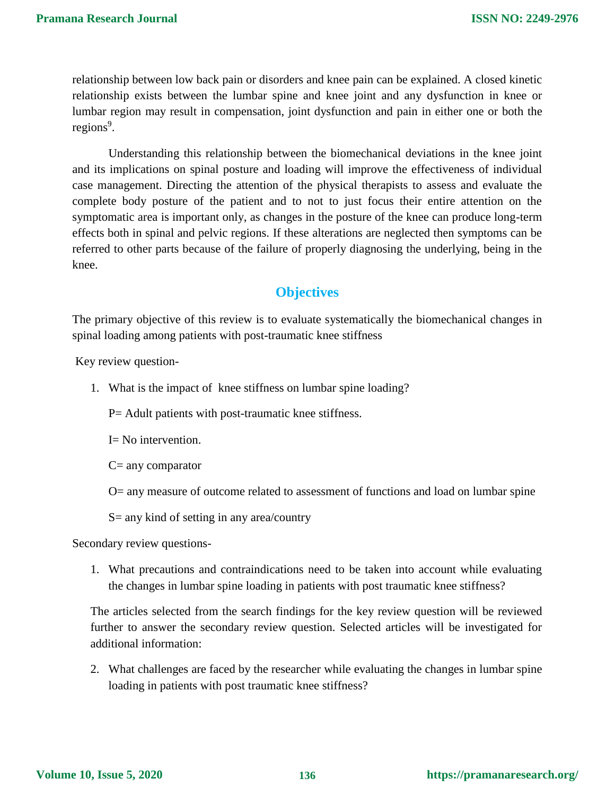relationship between low back pain or disorders and knee pain can be explained. A closed kinetic relationship exists between the lumbar spine and knee joint and any dysfunction in knee or lumbar region may result in compensation, joint dysfunction and pain in either one or both the regions<sup>9</sup>.

Understanding this relationship between the biomechanical deviations in the knee joint and its implications on spinal posture and loading will improve the effectiveness of individual case management. Directing the attention of the physical therapists to assess and evaluate the complete body posture of the patient and to not to just focus their entire attention on the symptomatic area is important only, as changes in the posture of the knee can produce long-term effects both in spinal and pelvic regions. If these alterations are neglected then symptoms can be referred to other parts because of the failure of properly diagnosing the underlying, being in the knee.

## **Objectives**

The primary objective of this review is to evaluate systematically the biomechanical changes in spinal loading among patients with post-traumatic knee stiffness

Key review question-

1. What is the impact of knee stiffness on lumbar spine loading?

P= Adult patients with post-traumatic knee stiffness.

I= No intervention.

C= any comparator

O= any measure of outcome related to assessment of functions and load on lumbar spine

S= any kind of setting in any area/country

Secondary review questions-

1. What precautions and contraindications need to be taken into account while evaluating the changes in lumbar spine loading in patients with post traumatic knee stiffness?

The articles selected from the search findings for the key review question will be reviewed further to answer the secondary review question. Selected articles will be investigated for additional information:

2. What challenges are faced by the researcher while evaluating the changes in lumbar spine loading in patients with post traumatic knee stiffness?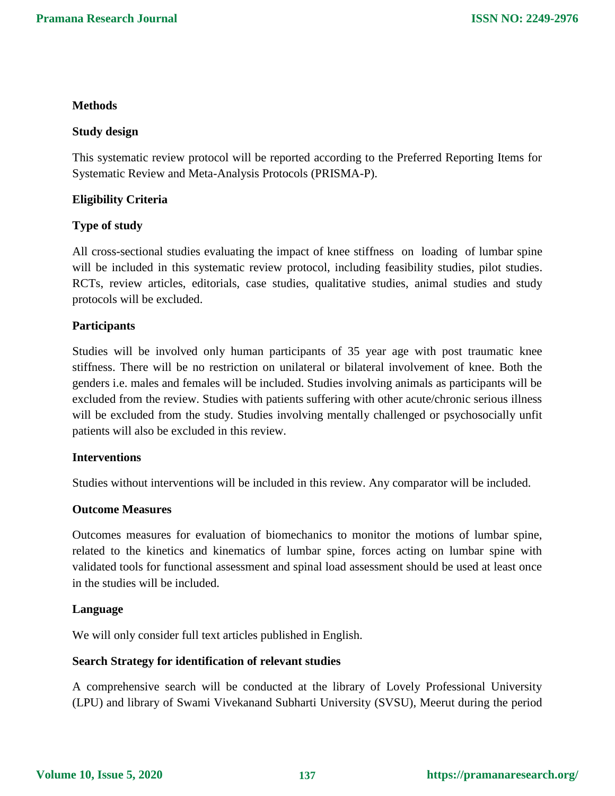#### **Methods**

#### **Study design**

This systematic review protocol will be reported according to the Preferred Reporting Items for Systematic Review and Meta-Analysis Protocols (PRISMA-P).

#### **Eligibility Criteria**

#### **Type of study**

All cross-sectional studies evaluating the impact of knee stiffness on loading of lumbar spine will be included in this systematic review protocol, including feasibility studies, pilot studies. RCTs, review articles, editorials, case studies, qualitative studies, animal studies and study protocols will be excluded.

#### **Participants**

Studies will be involved only human participants of 35 year age with post traumatic knee stiffness. There will be no restriction on unilateral or bilateral involvement of knee. Both the genders i.e. males and females will be included. Studies involving animals as participants will be excluded from the review. Studies with patients suffering with other acute/chronic serious illness will be excluded from the study. Studies involving mentally challenged or psychosocially unfit patients will also be excluded in this review.

#### **Interventions**

Studies without interventions will be included in this review. Any comparator will be included.

#### **Outcome Measures**

Outcomes measures for evaluation of biomechanics to monitor the motions of lumbar spine, related to the kinetics and kinematics of lumbar spine, forces acting on lumbar spine with validated tools for functional assessment and spinal load assessment should be used at least once in the studies will be included.

#### **Language**

We will only consider full text articles published in English.

#### **Search Strategy for identification of relevant studies**

A comprehensive search will be conducted at the library of Lovely Professional University (LPU) and library of Swami Vivekanand Subharti University (SVSU), Meerut during the period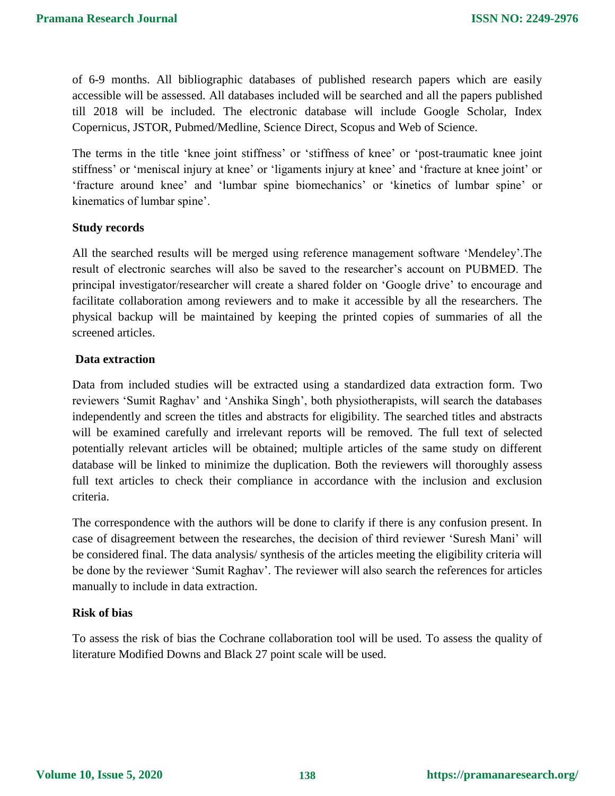of 6-9 months. All bibliographic databases of published research papers which are easily accessible will be assessed. All databases included will be searched and all the papers published till 2018 will be included. The electronic database will include Google Scholar, Index Copernicus, JSTOR, Pubmed/Medline, Science Direct, Scopus and Web of Science.

The terms in the title 'knee joint stiffness' or 'stiffness of knee' or 'post-traumatic knee joint stiffness' or 'meniscal injury at knee' or 'ligaments injury at knee' and 'fracture at knee joint' or 'fracture around knee' and 'lumbar spine biomechanics' or 'kinetics of lumbar spine' or kinematics of lumbar spine'.

## **Study records**

All the searched results will be merged using reference management software 'Mendeley'.The result of electronic searches will also be saved to the researcher's account on PUBMED. The principal investigator/researcher will create a shared folder on 'Google drive' to encourage and facilitate collaboration among reviewers and to make it accessible by all the researchers. The physical backup will be maintained by keeping the printed copies of summaries of all the screened articles.

## **Data extraction**

Data from included studies will be extracted using a standardized data extraction form. Two reviewers 'Sumit Raghav' and 'Anshika Singh', both physiotherapists, will search the databases independently and screen the titles and abstracts for eligibility. The searched titles and abstracts will be examined carefully and irrelevant reports will be removed. The full text of selected potentially relevant articles will be obtained; multiple articles of the same study on different database will be linked to minimize the duplication. Both the reviewers will thoroughly assess full text articles to check their compliance in accordance with the inclusion and exclusion criteria.

The correspondence with the authors will be done to clarify if there is any confusion present. In case of disagreement between the researches, the decision of third reviewer 'Suresh Mani' will be considered final. The data analysis/ synthesis of the articles meeting the eligibility criteria will be done by the reviewer 'Sumit Raghav'. The reviewer will also search the references for articles manually to include in data extraction.

#### **Risk of bias**

To assess the risk of bias the Cochrane collaboration tool will be used. To assess the quality of literature Modified Downs and Black 27 point scale will be used.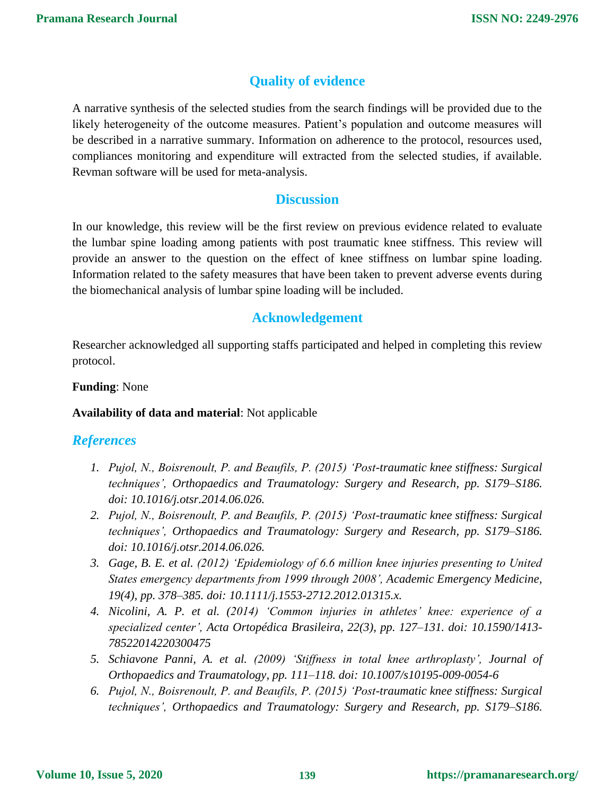## **Quality of evidence**

A narrative synthesis of the selected studies from the search findings will be provided due to the likely heterogeneity of the outcome measures. Patient's population and outcome measures will be described in a narrative summary. Information on adherence to the protocol, resources used, compliances monitoring and expenditure will extracted from the selected studies, if available. Revman software will be used for meta-analysis.

## **Discussion**

In our knowledge, this review will be the first review on previous evidence related to evaluate the lumbar spine loading among patients with post traumatic knee stiffness. This review will provide an answer to the question on the effect of knee stiffness on lumbar spine loading. Information related to the safety measures that have been taken to prevent adverse events during the biomechanical analysis of lumbar spine loading will be included.

## **Acknowledgement**

Researcher acknowledged all supporting staffs participated and helped in completing this review protocol.

## **Funding**: None

**Availability of data and material**: Not applicable

## *References*

- *1. Pujol, N., Boisrenoult, P. and Beaufils, P. (2015) 'Post-traumatic knee stiffness: Surgical techniques', Orthopaedics and Traumatology: Surgery and Research, pp. S179–S186. doi: 10.1016/j.otsr.2014.06.026.*
- *2. Pujol, N., Boisrenoult, P. and Beaufils, P. (2015) 'Post-traumatic knee stiffness: Surgical techniques', Orthopaedics and Traumatology: Surgery and Research, pp. S179–S186. doi: 10.1016/j.otsr.2014.06.026.*
- *3. Gage, B. E. et al. (2012) 'Epidemiology of 6.6 million knee injuries presenting to United States emergency departments from 1999 through 2008', Academic Emergency Medicine, 19(4), pp. 378–385. doi: 10.1111/j.1553-2712.2012.01315.x.*
- *4. Nicolini, A. P. et al. (2014) 'Common injuries in athletes' knee: experience of a specialized center', Acta Ortopédica Brasileira, 22(3), pp. 127–131. doi: 10.1590/1413- 78522014220300475*
- *5. Schiavone Panni, A. et al. (2009) 'Stiffness in total knee arthroplasty', Journal of Orthopaedics and Traumatology, pp. 111–118. doi: 10.1007/s10195-009-0054-6*
- *6. Pujol, N., Boisrenoult, P. and Beaufils, P. (2015) 'Post-traumatic knee stiffness: Surgical techniques', Orthopaedics and Traumatology: Surgery and Research, pp. S179–S186.*